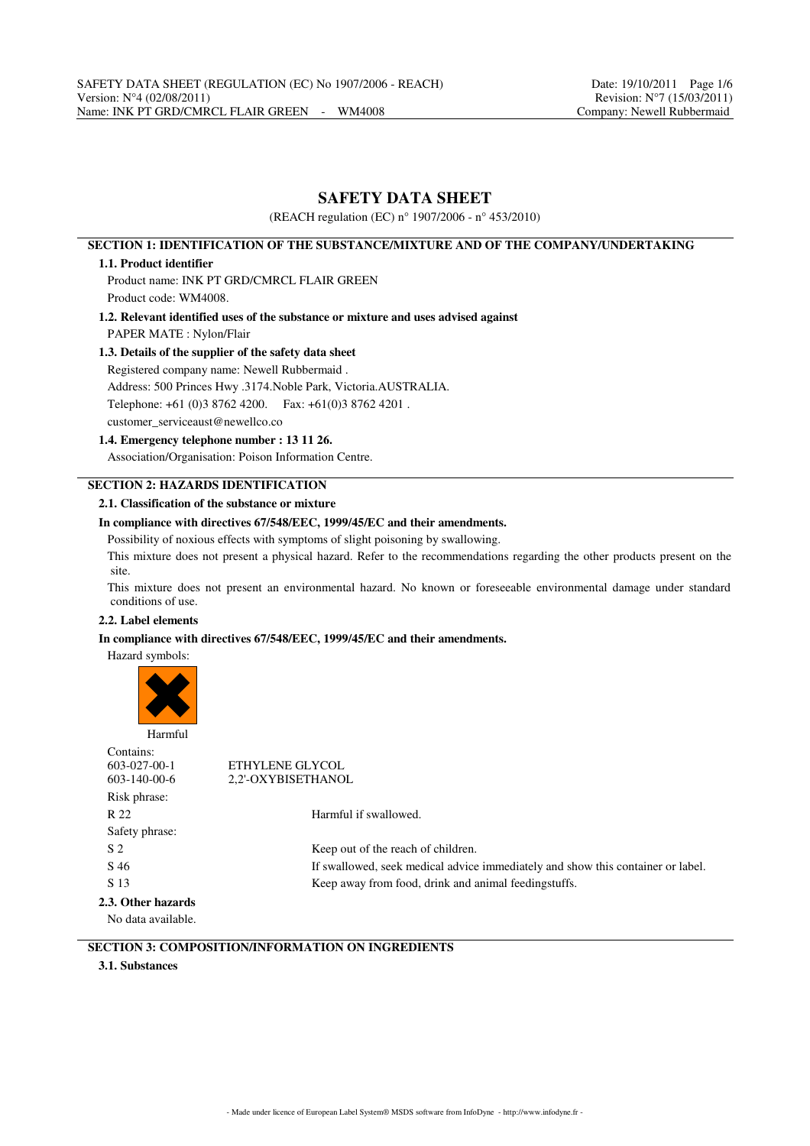# **SAFETY DATA SHEET**

(REACH regulation (EC) n° 1907/2006 - n° 453/2010)

## **SECTION 1: IDENTIFICATION OF THE SUBSTANCE/MIXTURE AND OF THE COMPANY/UNDERTAKING**

### **1.1. Product identifier**

Product name: INK PT GRD/CMRCL FLAIR GREEN Product code: WM4008.

**1.2. Relevant identified uses of the substance or mixture and uses advised against** PAPER MATE : Nylon/Flair

### **1.3. Details of the supplier of the safety data sheet**

Registered company name: Newell Rubbermaid .

Address: 500 Princes Hwy .3174.Noble Park, Victoria.AUSTRALIA.

Telephone: +61 (0)3 8762 4200. Fax: +61(0)3 8762 4201 .

customer\_serviceaust@newellco.co

## **1.4. Emergency telephone number : 13 11 26.**

Association/Organisation: Poison Information Centre.

# **SECTION 2: HAZARDS IDENTIFICATION**

## **2.1. Classification of the substance or mixture**

#### **In compliance with directives 67/548/EEC, 1999/45/EC and their amendments.**

Possibility of noxious effects with symptoms of slight poisoning by swallowing.

This mixture does not present a physical hazard. Refer to the recommendations regarding the other products present on the site.

This mixture does not present an environmental hazard. No known or foreseeable environmental damage under standard conditions of use.

## **2.2. Label elements**

### **In compliance with directives 67/548/EEC, 1999/45/EC and their amendments.**

Hazard symbols:



Contains:<br>603-027-00-1 603-027-00-1 ETHYLENE GLYCOL<br>603-140-00-6 2.2'-OXYBISETHANO 2,2'-OXYBISETHANOL Risk phrase: R 22 Harmful if swallowed. Safety phrase: S 2 Keep out of the reach of children. S 46 If swallowed, seek medical advice immediately and show this container or label. S 13 Keep away from food, drink and animal feedingstuffs. **2.3. Other hazards**

No data available.

# **SECTION 3: COMPOSITION/INFORMATION ON INGREDIENTS**

## **3.1. Substances**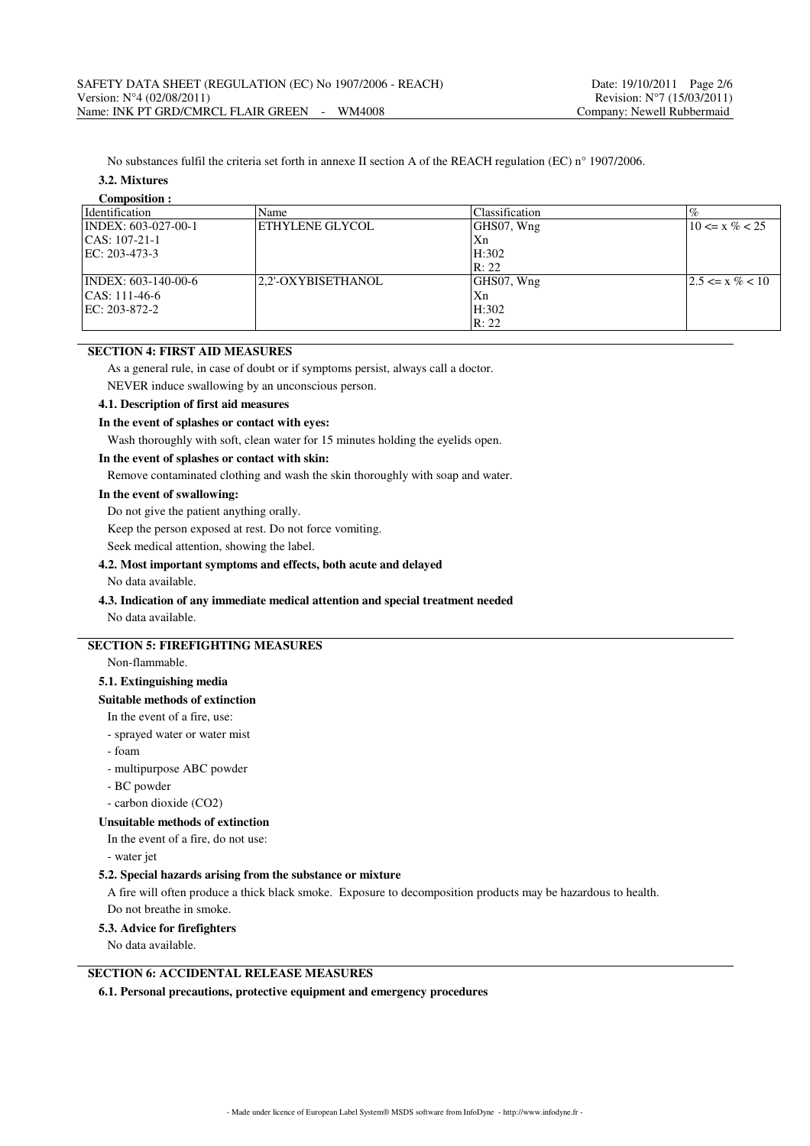No substances fulfil the criteria set forth in annexe II section A of the REACH regulation (EC) n° 1907/2006.

## **3.2. Mixtures**

| <b>Composition:</b>                 |                    |                |                     |
|-------------------------------------|--------------------|----------------|---------------------|
| Identification                      | Name               | Classification |                     |
| $\text{INDEX: } 603-027-00-1$       | ETHYLENE GLYCOL    | GHS07, Wng     | $10 \le x \% < 25$  |
| $ CAS: 107-21-1$                    |                    | Xn             |                     |
| $EC: 203-473-3$                     |                    | H:302          |                     |
|                                     |                    | R: 22          |                     |
| $\text{INDEX: } 603 - 140 - 00 - 6$ | 2.2'-OXYBISETHANOL | GHS07, Wng     | $2.5 \le x \% < 10$ |
| $ CAS: 111-46-6$                    |                    | Xn             |                     |
| $ EC: 203-872-2 $                   |                    | H:302          |                     |
|                                     |                    | R: 22          |                     |

# **SECTION 4: FIRST AID MEASURES**

As a general rule, in case of doubt or if symptoms persist, always call a doctor.

NEVER induce swallowing by an unconscious person.

#### **4.1. Description of first aid measures**

## **In the event of splashes or contact with eyes:**

Wash thoroughly with soft, clean water for 15 minutes holding the eyelids open.

## **In the event of splashes or contact with skin:**

Remove contaminated clothing and wash the skin thoroughly with soap and water.

### **In the event of swallowing:**

Do not give the patient anything orally.

Keep the person exposed at rest. Do not force vomiting.

Seek medical attention, showing the label.

#### **4.2. Most important symptoms and effects, both acute and delayed**

No data available.

## **4.3. Indication of any immediate medical attention and special treatment needed**

No data available.

## **SECTION 5: FIREFIGHTING MEASURES**

Non-flammable.

# **5.1. Extinguishing media**

#### **Suitable methods of extinction**

In the event of a fire, use:

- sprayed water or water mist
- foam
- multipurpose ABC powder
- BC powder
- carbon dioxide (CO2)

#### **Unsuitable methods of extinction**

In the event of a fire, do not use:

- water jet

### **5.2. Special hazards arising from the substance or mixture**

A fire will often produce a thick black smoke. Exposure to decomposition products may be hazardous to health. Do not breathe in smoke.

#### **5.3. Advice for firefighters**

No data available.

## **SECTION 6: ACCIDENTAL RELEASE MEASURES**

**6.1. Personal precautions, protective equipment and emergency procedures**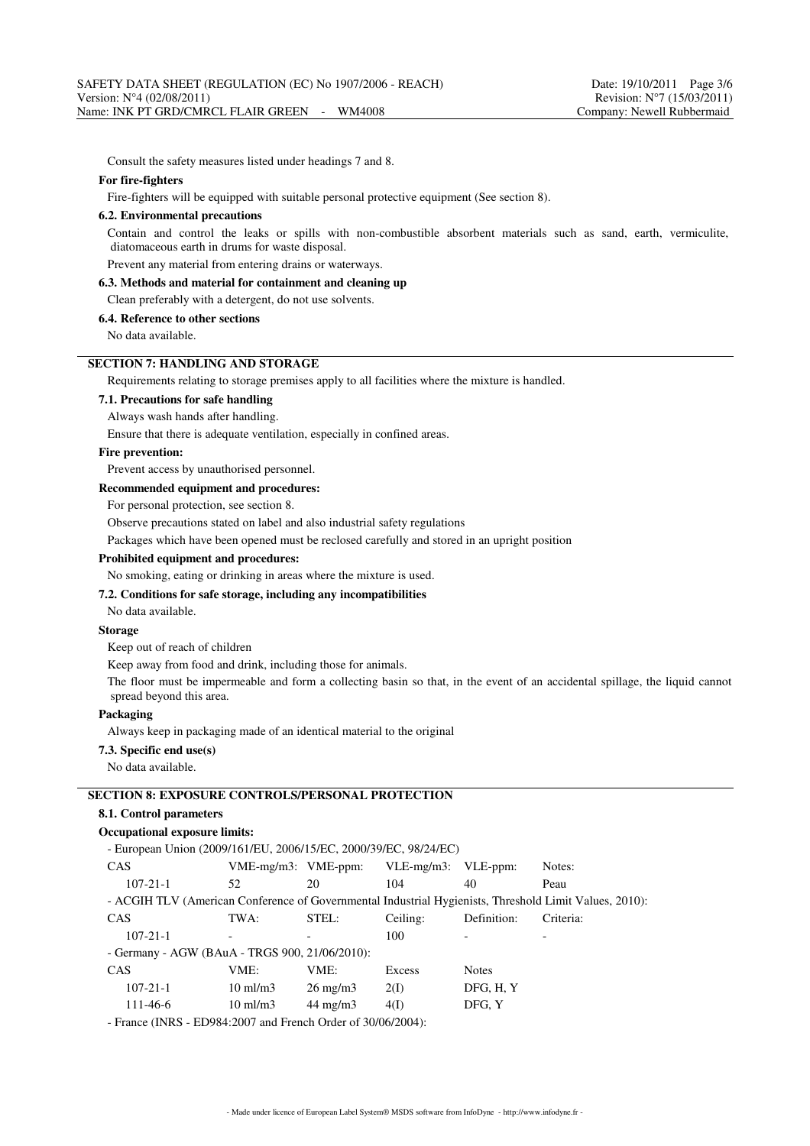Consult the safety measures listed under headings 7 and 8.

### **For fire-fighters**

Fire-fighters will be equipped with suitable personal protective equipment (See section 8).

#### **6.2. Environmental precautions**

Contain and control the leaks or spills with non-combustible absorbent materials such as sand, earth, vermiculite, diatomaceous earth in drums for waste disposal.

Prevent any material from entering drains or waterways.

**6.3. Methods and material for containment and cleaning up**

Clean preferably with a detergent, do not use solvents.

## **6.4. Reference to other sections**

No data available.

#### **SECTION 7: HANDLING AND STORAGE**

Requirements relating to storage premises apply to all facilities where the mixture is handled.

#### **7.1. Precautions for safe handling**

Always wash hands after handling.

Ensure that there is adequate ventilation, especially in confined areas.

## **Fire prevention:**

Prevent access by unauthorised personnel.

## **Recommended equipment and procedures:**

For personal protection, see section 8.

Observe precautions stated on label and also industrial safety regulations

Packages which have been opened must be reclosed carefully and stored in an upright position

## **Prohibited equipment and procedures:**

No smoking, eating or drinking in areas where the mixture is used.

## **7.2. Conditions for safe storage, including any incompatibilities**

No data available.

## **Storage**

Keep out of reach of children

Keep away from food and drink, including those for animals.

The floor must be impermeable and form a collecting basin so that, in the event of an accidental spillage, the liquid cannot spread beyond this area.

## **Packaging**

Always keep in packaging made of an identical material to the original

#### **7.3. Specific end use(s)**

No data available.

# **SECTION 8: EXPOSURE CONTROLS/PERSONAL PROTECTION**

# **8.1. Control parameters**

#### **Occupational exposure limits:**

| - European Union (2009/161/EU, 2006/15/EC, 2000/39/EC, 98/24/EC)                                       |                           |                   |               |              |           |
|--------------------------------------------------------------------------------------------------------|---------------------------|-------------------|---------------|--------------|-----------|
| <b>CAS</b>                                                                                             | $VME-mg/m3$ : $VME-ppm$ : |                   | $VLE-mg/m3$ : | VLE-ppm:     | Notes:    |
| $107 - 21 - 1$                                                                                         | 52                        | 20                | 104           | 40           | Peau      |
| - ACGIH TLV (American Conference of Governmental Industrial Hygienists, Threshold Limit Values, 2010): |                           |                   |               |              |           |
| <b>CAS</b>                                                                                             | TWA:                      | STEL:             | Ceiling:      | Definition:  | Criteria: |
| $107 - 21 - 1$                                                                                         |                           |                   | 100           |              |           |
| - Germany - AGW (BAuA - TRGS 900, 21/06/2010):                                                         |                           |                   |               |              |           |
| <b>CAS</b>                                                                                             | VME:                      | VME:              | Excess        | <b>Notes</b> |           |
| $107 - 21 - 1$                                                                                         | $10 \text{ ml/m}$ 3       | $26 \text{ mg/m}$ | 2(I)          | DFG, H, Y    |           |
| 111-46-6                                                                                               | $10 \text{ ml/m}$ 3       | $44 \text{ mg/m}$ | 4(I)          | DFG, Y       |           |
| $FDO04.2007 - 1 F 1 F 1 O 1 - 1200060200$<br>$E_{\text{max}} = \sqrt{N} \mathbf{D} \mathbf{C}$         |                           |                   |               |              |           |

- France (INRS - ED984:2007 and French Order of 30/06/2004):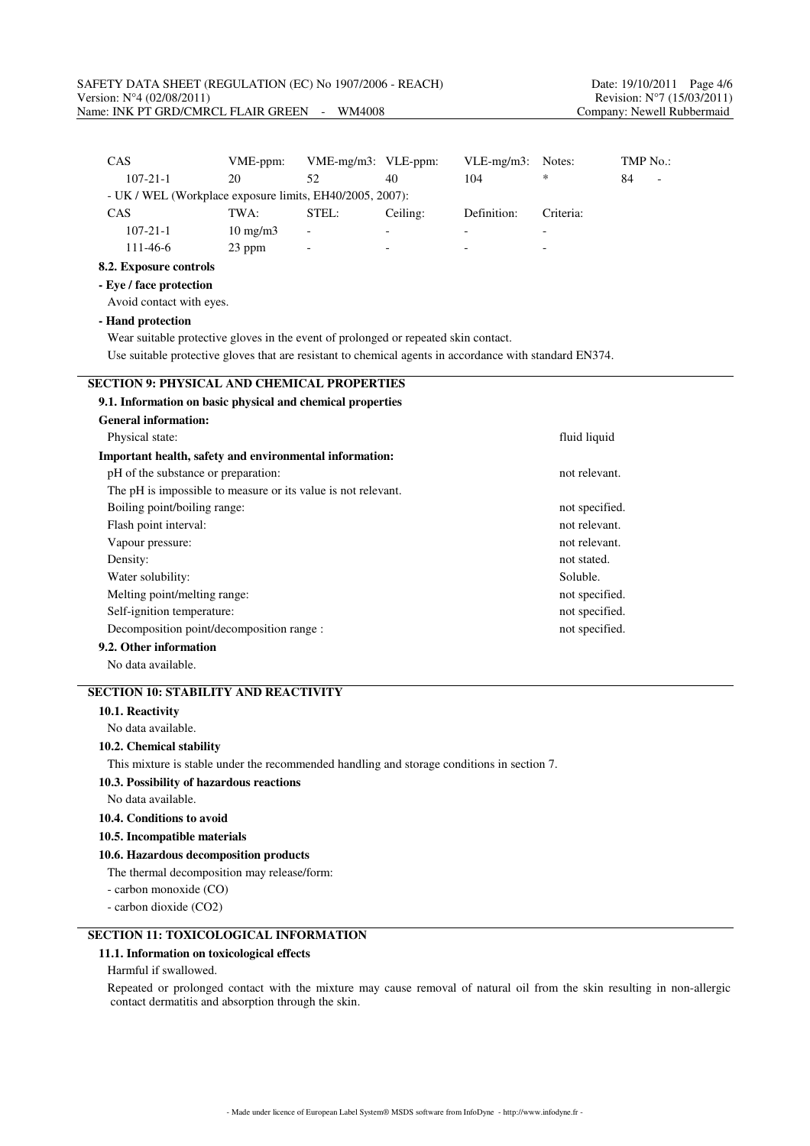| CAS                                                                                                     | VME-ppm:                                                 | VME-mg/m3: VLE-ppm: |          | VLE-mg/m3:  | Notes:    | TMP No.: |
|---------------------------------------------------------------------------------------------------------|----------------------------------------------------------|---------------------|----------|-------------|-----------|----------|
| $107 - 21 - 1$                                                                                          | 20                                                       | 52                  | 40       | 104         | *         | 84       |
|                                                                                                         | - UK / WEL (Workplace exposure limits, EH40/2005, 2007): |                     |          |             |           |          |
| CAS                                                                                                     | TWA:                                                     | STEL:               | Ceiling: | Definition: | Criteria: |          |
| $107 - 21 - 1$                                                                                          | $10$ mg/m $3$                                            |                     |          |             |           |          |
| 111-46-6                                                                                                | 23 ppm                                                   |                     |          |             |           |          |
| 8.2. Exposure controls                                                                                  |                                                          |                     |          |             |           |          |
| - Eye / face protection                                                                                 |                                                          |                     |          |             |           |          |
| Avoid contact with eyes.                                                                                |                                                          |                     |          |             |           |          |
| - Hand protection                                                                                       |                                                          |                     |          |             |           |          |
| Wear suitable protective gloves in the event of prolonged or repeated skin contact.                     |                                                          |                     |          |             |           |          |
| Use suitable protective gloves that are resistant to chemical agents in accordance with standard EN374. |                                                          |                     |          |             |           |          |
|                                                                                                         |                                                          |                     |          |             |           |          |
| <b>SECTION 9: PHYSICAL AND CHEMICAL PROPERTIES</b>                                                      |                                                          |                     |          |             |           |          |
| 9.1. Information on basic physical and chemical properties                                              |                                                          |                     |          |             |           |          |
| <b>General information:</b>                                                                             |                                                          |                     |          |             |           |          |
| Physical state:<br>fluid liquid                                                                         |                                                          |                     |          |             |           |          |
| Important health, safety and environmental information:                                                 |                                                          |                     |          |             |           |          |
| pH of the substance or preparation:<br>not relevant.                                                    |                                                          |                     |          |             |           |          |
| The pH is impossible to measure or its value is not relevant.                                           |                                                          |                     |          |             |           |          |
| Boiling point/boiling range:<br>not specified.                                                          |                                                          |                     |          |             |           |          |
| Flash point interval:<br>not relevant.                                                                  |                                                          |                     |          |             |           |          |
| Vapour pressure:<br>not relevant.                                                                       |                                                          |                     |          |             |           |          |
| Density:<br>not stated.                                                                                 |                                                          |                     |          |             |           |          |
| Water solubility:<br>Soluble.                                                                           |                                                          |                     |          |             |           |          |
| Melting point/melting range:<br>not specified.                                                          |                                                          |                     |          |             |           |          |
| Self-ignition temperature:<br>not specified.                                                            |                                                          |                     |          |             |           |          |
| Decomposition point/decomposition range :<br>not specified.                                             |                                                          |                     |          |             |           |          |
| 9.2. Other information                                                                                  |                                                          |                     |          |             |           |          |
| No data available.                                                                                      |                                                          |                     |          |             |           |          |
| <b>SECTION 10: STABILITY AND REACTIVITY</b>                                                             |                                                          |                     |          |             |           |          |
| 10.1. Reactivity                                                                                        |                                                          |                     |          |             |           |          |
| No data available.                                                                                      |                                                          |                     |          |             |           |          |
| 10.2. Chemical stability                                                                                |                                                          |                     |          |             |           |          |
| This mixture is stable under the recommended handling and storage conditions in section 7.              |                                                          |                     |          |             |           |          |
|                                                                                                         |                                                          |                     |          |             |           |          |

## **10.3. Possibility of hazardous reactions**

No data available.

## **10.4. Conditions to avoid**

#### **10.5. Incompatible materials**

## **10.6. Hazardous decomposition products**

The thermal decomposition may release/form:

- carbon monoxide (CO)
- carbon dioxide (CO2)

# **SECTION 11: TOXICOLOGICAL INFORMATION**

## **11.1. Information on toxicological effects**

Harmful if swallowed.

Repeated or prolonged contact with the mixture may cause removal of natural oil from the skin resulting in non-allergic contact dermatitis and absorption through the skin.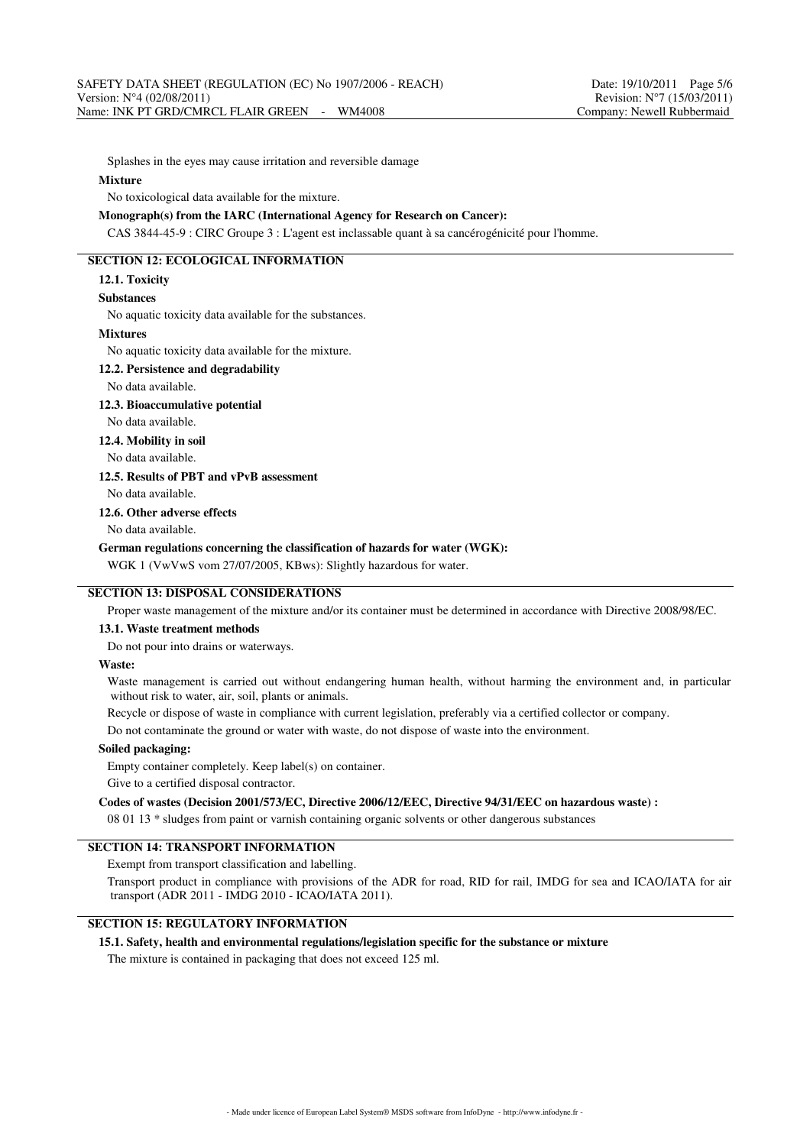Splashes in the eyes may cause irritation and reversible damage

#### **Mixture**

No toxicological data available for the mixture.

### **Monograph(s) from the IARC (International Agency for Research on Cancer):**

CAS 3844-45-9 : CIRC Groupe 3 : L'agent est inclassable quant à sa cancérogénicité pour l'homme.

# **SECTION 12: ECOLOGICAL INFORMATION**

#### **12.1. Toxicity**

#### **Substances**

No aquatic toxicity data available for the substances.

#### **Mixtures**

No aquatic toxicity data available for the mixture.

#### **12.2. Persistence and degradability**

No data available.

#### **12.3. Bioaccumulative potential**

No data available.

**12.4. Mobility in soil**

No data available.

**12.5. Results of PBT and vPvB assessment**

No data available.

## **12.6. Other adverse effects**

No data available.

## **German regulations concerning the classification of hazards for water (WGK):**

WGK 1 (VwVwS vom 27/07/2005, KBws): Slightly hazardous for water.

## **SECTION 13: DISPOSAL CONSIDERATIONS**

Proper waste management of the mixture and/or its container must be determined in accordance with Directive 2008/98/EC.

#### **13.1. Waste treatment methods**

Do not pour into drains or waterways.

#### **Waste:**

Waste management is carried out without endangering human health, without harming the environment and, in particular without risk to water, air, soil, plants or animals.

Recycle or dispose of waste in compliance with current legislation, preferably via a certified collector or company.

Do not contaminate the ground or water with waste, do not dispose of waste into the environment.

#### **Soiled packaging:**

Empty container completely. Keep label(s) on container.

Give to a certified disposal contractor.

#### **Codes of wastes (Decision 2001/573/EC, Directive 2006/12/EEC, Directive 94/31/EEC on hazardous waste) :**

08 01 13 \* sludges from paint or varnish containing organic solvents or other dangerous substances

## **SECTION 14: TRANSPORT INFORMATION**

Exempt from transport classification and labelling.

Transport product in compliance with provisions of the ADR for road, RID for rail, IMDG for sea and ICAO/IATA for air transport (ADR 2011 - IMDG 2010 - ICAO/IATA 2011).

# **SECTION 15: REGULATORY INFORMATION**

#### **15.1. Safety, health and environmental regulations/legislation specific for the substance or mixture**

The mixture is contained in packaging that does not exceed 125 ml.